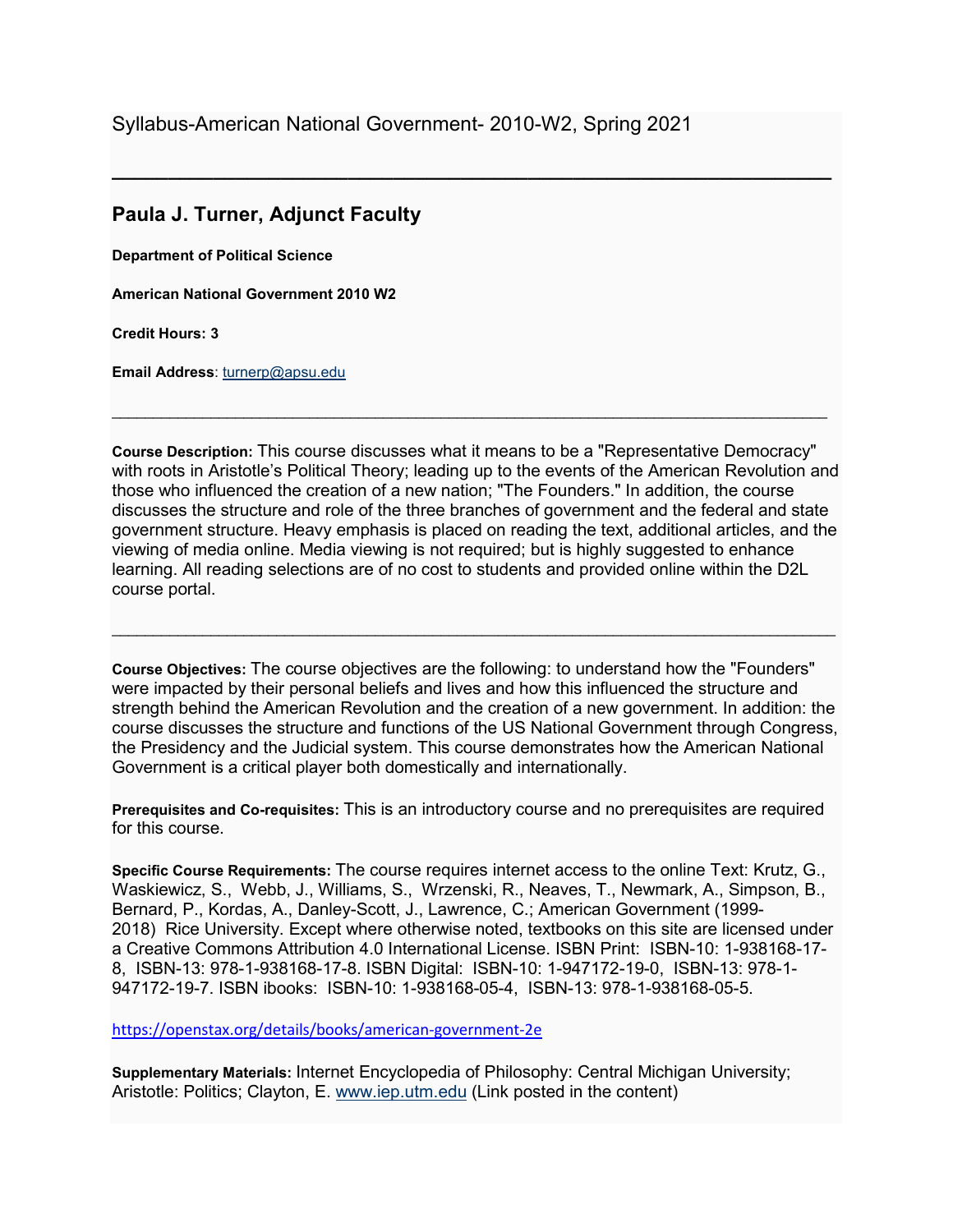## **Paula J. Turner, Adjunct Faculty**

**Department of Political Science**

**American National Government 2010 W2**

**Credit Hours: 3**

**Email Address**: [turnerp@apsu.edu](mailto:turnerp@apsu.edu) 

**Course Description:** This course discusses what it means to be a "Representative Democracy" with roots in Aristotle's Political Theory; leading up to the events of the American Revolution and those who influenced the creation of a new nation; "The Founders." In addition, the course discusses the structure and role of the three branches of government and the federal and state government structure. Heavy emphasis is placed on reading the text, additional articles, and the viewing of media online. Media viewing is not required; but is highly suggested to enhance learning. All reading selections are of no cost to students and provided online within the D2L course portal.

 $\_$  ,  $\_$  ,  $\_$  ,  $\_$  ,  $\_$  ,  $\_$  ,  $\_$  ,  $\_$  ,  $\_$  ,  $\_$  ,  $\_$  ,  $\_$  ,  $\_$  ,  $\_$  ,  $\_$  ,  $\_$  ,  $\_$  ,  $\_$  ,  $\_$  ,  $\_$  ,  $\_$  ,  $\_$  ,  $\_$  ,  $\_$  ,  $\_$  ,  $\_$  ,  $\_$  ,  $\_$  ,  $\_$  ,  $\_$  ,  $\_$  ,  $\_$  ,  $\_$  ,  $\_$  ,  $\_$  ,  $\_$  ,  $\_$  ,

**\_\_\_\_\_\_\_\_\_\_\_\_\_\_\_\_\_\_\_\_\_\_\_\_\_\_\_\_\_\_\_\_\_\_\_\_\_\_\_\_\_\_\_\_\_\_\_\_\_\_\_\_\_\_\_\_\_\_\_\_\_\_\_\_**

**Course Objectives:** The course objectives are the following: to understand how the "Founders" were impacted by their personal beliefs and lives and how this influenced the structure and strength behind the American Revolution and the creation of a new government. In addition: the course discusses the structure and functions of the US National Government through Congress, the Presidency and the Judicial system. This course demonstrates how the American National Government is a critical player both domestically and internationally.

 $\ldots$  . The contribution of the contribution of the contribution of the contribution of the contribution of the contribution of the contribution of the contribution of the contribution of the contribution of the contribut

**Prerequisites and Co-requisites:** This is an introductory course and no prerequisites are required for this course.

**Specific Course Requirements:** The course requires internet access to the online Text: Krutz, G., Waskiewicz, S., Webb, J., Williams, S., Wrzenski, R., Neaves, T., Newmark, A., Simpson, B., Bernard, P., Kordas, A., Danley-Scott, J., Lawrence, C.; American Government (1999- 2018) Rice University. Except where otherwise noted, textbooks on this site are licensed under a Creative Commons Attribution 4.0 International License. ISBN Print: ISBN-10: 1-938168-17- 8, ISBN-13: 978-1-938168-17-8. ISBN Digital: ISBN-10: 1-947172-19-0, ISBN-13: 978-1- 947172-19-7. ISBN ibooks: ISBN-10: 1-938168-05-4, ISBN-13: 978-1-938168-05-5.

<https://openstax.org/details/books/american-government-2e>

**Supplementary Materials:** Internet Encyclopedia of Philosophy: Central Michigan University; Aristotle: Politics; Clayton, E. [www.iep.utm.edu](http://www.iep.utm.edu/) (Link posted in the content)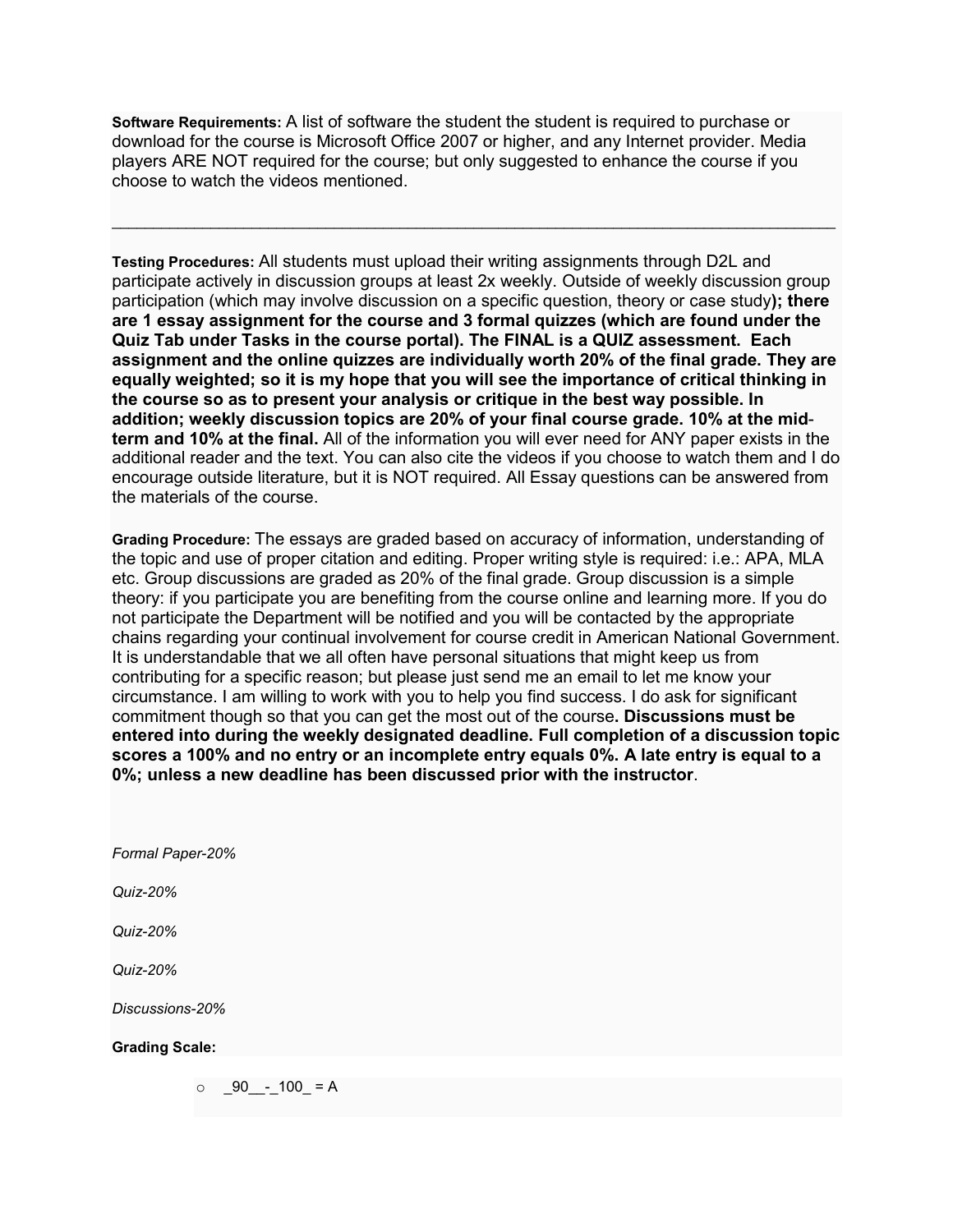**Software Requirements:** A list of software the student the student is required to purchase or download for the course is Microsoft Office 2007 or higher, and any Internet provider. Media players ARE NOT required for the course; but only suggested to enhance the course if you choose to watch the videos mentioned.

 $\ldots$  . The contribution of the contribution of the contribution of the contribution of the contribution of the contribution of the contribution of the contribution of the contribution of the contribution of the contribut

**Testing Procedures:** All students must upload their writing assignments through D2L and participate actively in discussion groups at least 2x weekly. Outside of weekly discussion group participation (which may involve discussion on a specific question, theory or case study**); there are 1 essay assignment for the course and 3 formal quizzes (which are found under the Quiz Tab under Tasks in the course portal). The FINAL is a QUIZ assessment. Each assignment and the online quizzes are individually worth 20% of the final grade. They are equally weighted; so it is my hope that you will see the importance of critical thinking in the course so as to present your analysis or critique in the best way possible. In addition; weekly discussion topics are 20% of your final course grade. 10% at the midterm and 10% at the final.** All of the information you will ever need for ANY paper exists in the additional reader and the text. You can also cite the videos if you choose to watch them and I do encourage outside literature, but it is NOT required. All Essay questions can be answered from the materials of the course.

**Grading Procedure:** The essays are graded based on accuracy of information, understanding of the topic and use of proper citation and editing. Proper writing style is required: i.e.: APA, MLA etc. Group discussions are graded as 20% of the final grade. Group discussion is a simple theory: if you participate you are benefiting from the course online and learning more. If you do not participate the Department will be notified and you will be contacted by the appropriate chains regarding your continual involvement for course credit in American National Government. It is understandable that we all often have personal situations that might keep us from contributing for a specific reason; but please just send me an email to let me know your circumstance. I am willing to work with you to help you find success. I do ask for significant commitment though so that you can get the most out of the course**. Discussions must be entered into during the weekly designated deadline. Full completion of a discussion topic scores a 100% and no entry or an incomplete entry equals 0%. A late entry is equal to a 0%; unless a new deadline has been discussed prior with the instructor**.

*Formal Paper-20%*

*Quiz-20%*

*Quiz-20%*

*Quiz-20%*

*Discussions-20%*

## **Grading Scale:**

 $\circ$  \_90\_\_-\_100\_ = A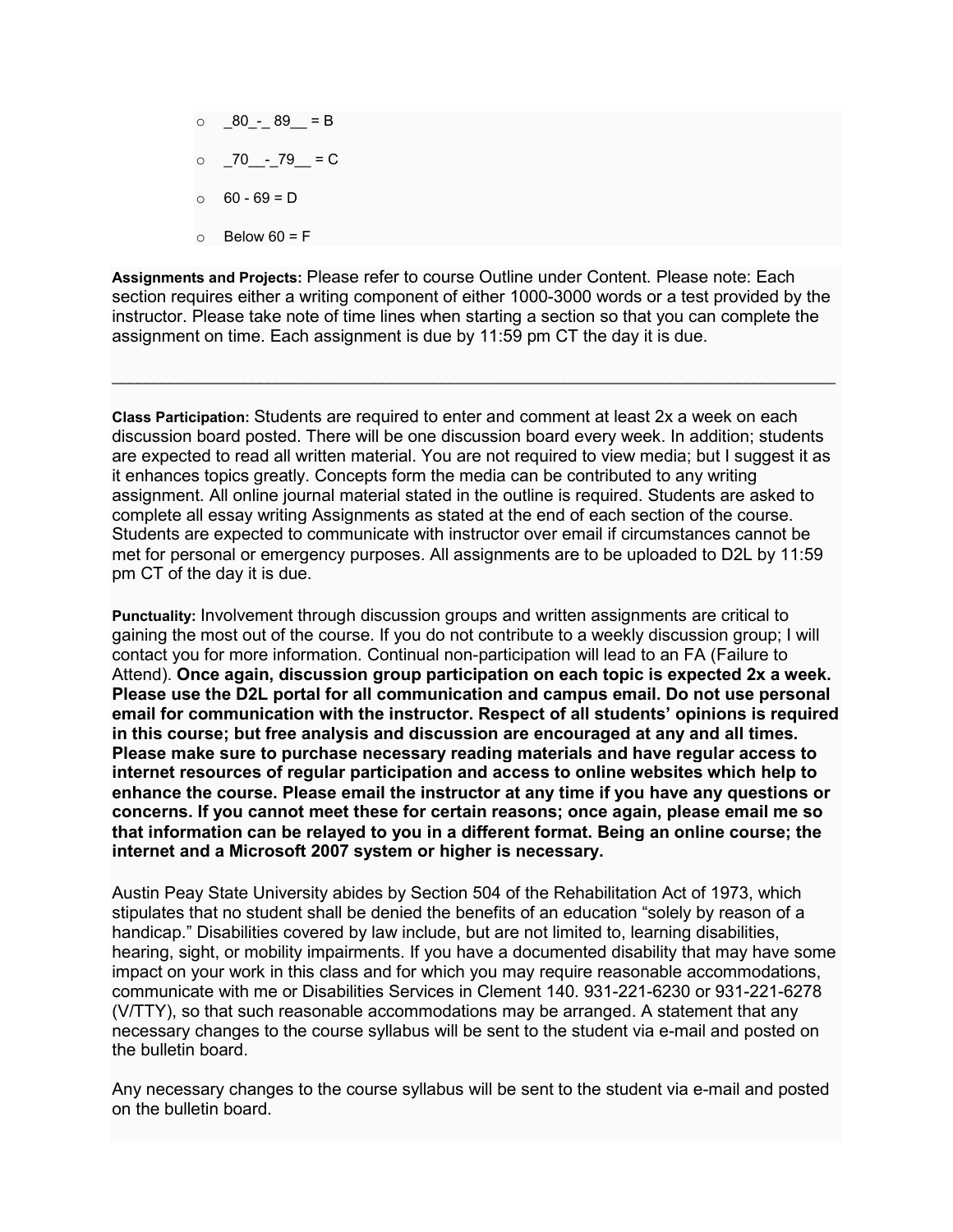$\circ$   $80 - 89 = B$  $\circ$  70 - 79 = C  $0 - 69 = D$  $\circ$  Below 60 = F

**Assignments and Projects:** Please refer to course Outline under Content. Please note: Each section requires either a writing component of either 1000-3000 words or a test provided by the instructor. Please take note of time lines when starting a section so that you can complete the assignment on time. Each assignment is due by 11:59 pm CT the day it is due.

 $\_$  ,  $\_$  ,  $\_$  ,  $\_$  ,  $\_$  ,  $\_$  ,  $\_$  ,  $\_$  ,  $\_$  ,  $\_$  ,  $\_$  ,  $\_$  ,  $\_$  ,  $\_$  ,  $\_$  ,  $\_$  ,  $\_$  ,  $\_$  ,  $\_$  ,  $\_$  ,  $\_$  ,  $\_$  ,  $\_$  ,  $\_$  ,  $\_$  ,  $\_$  ,  $\_$  ,  $\_$  ,  $\_$  ,  $\_$  ,  $\_$  ,  $\_$  ,  $\_$  ,  $\_$  ,  $\_$  ,  $\_$  ,  $\_$  ,

**Class Participation:** Students are required to enter and comment at least 2x a week on each discussion board posted. There will be one discussion board every week. In addition; students are expected to read all written material. You are not required to view media; but I suggest it as it enhances topics greatly. Concepts form the media can be contributed to any writing assignment. All online journal material stated in the outline is required. Students are asked to complete all essay writing Assignments as stated at the end of each section of the course. Students are expected to communicate with instructor over email if circumstances cannot be met for personal or emergency purposes. All assignments are to be uploaded to D2L by 11:59 pm CT of the day it is due.

**Punctuality:** Involvement through discussion groups and written assignments are critical to gaining the most out of the course. If you do not contribute to a weekly discussion group; I will contact you for more information. Continual non-participation will lead to an FA (Failure to Attend). **Once again, discussion group participation on each topic is expected 2x a week. Please use the D2L portal for all communication and campus email. Do not use personal email for communication with the instructor. Respect of all students' opinions is required in this course; but free analysis and discussion are encouraged at any and all times. Please make sure to purchase necessary reading materials and have regular access to internet resources of regular participation and access to online websites which help to enhance the course. Please email the instructor at any time if you have any questions or concerns. If you cannot meet these for certain reasons; once again, please email me so that information can be relayed to you in a different format. Being an online course; the internet and a Microsoft 2007 system or higher is necessary.**

Austin Peay State University abides by Section 504 of the Rehabilitation Act of 1973, which stipulates that no student shall be denied the benefits of an education "solely by reason of a handicap." Disabilities covered by law include, but are not limited to, learning disabilities, hearing, sight, or mobility impairments. If you have a documented disability that may have some impact on your work in this class and for which you may require reasonable accommodations, communicate with me or Disabilities Services in Clement 140. 931-221-6230 or 931-221-6278 (V/TTY), so that such reasonable accommodations may be arranged. A statement that any necessary changes to the course syllabus will be sent to the student via e-mail and posted on the bulletin board.

Any necessary changes to the course syllabus will be sent to the student via e-mail and posted on the bulletin board.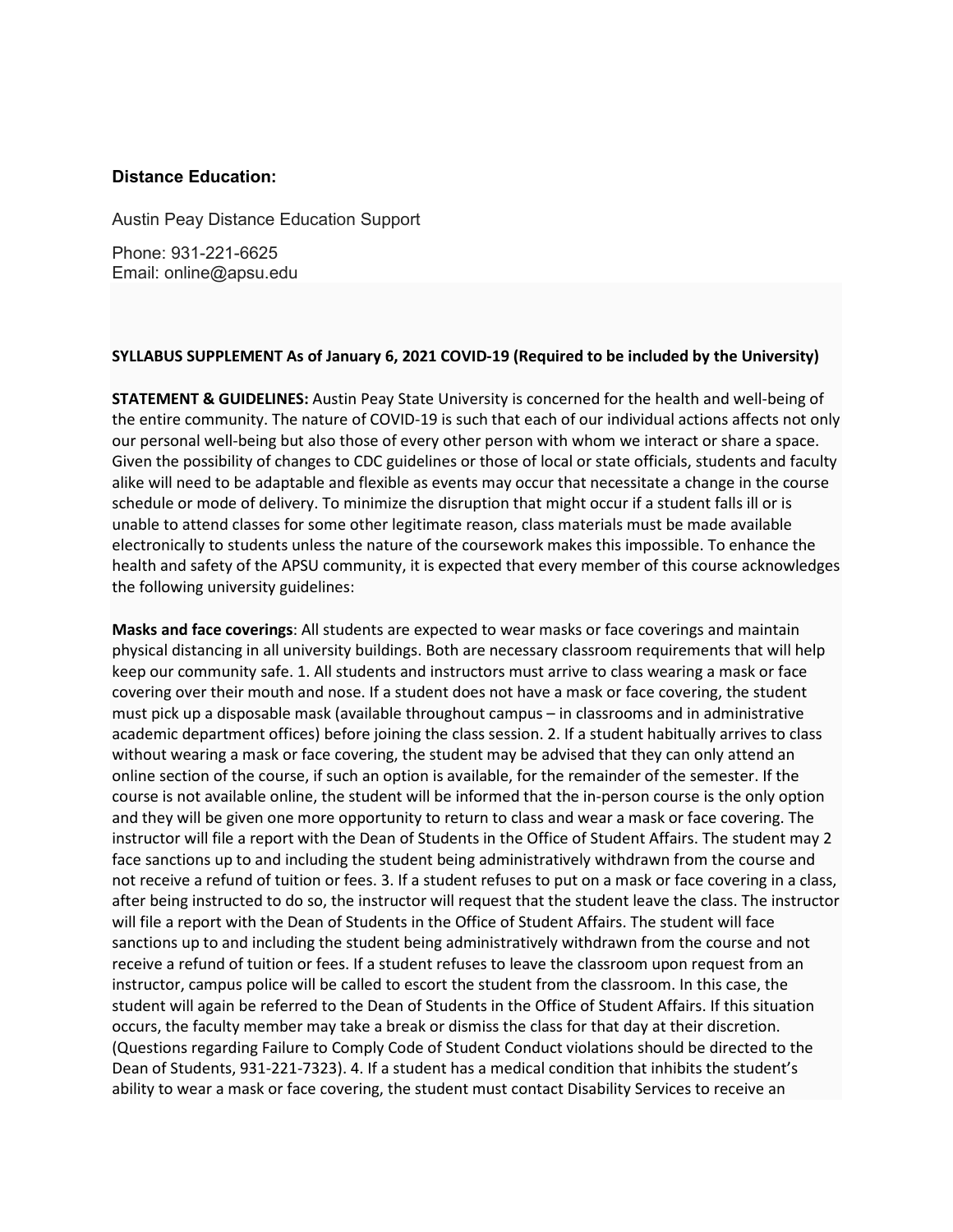## **Distance Education:**

Austin Peay Distance Education Support

Phone: 931-221-6625 Email: online@apsu.edu

## **SYLLABUS SUPPLEMENT As of January 6, 2021 COVID-19 (Required to be included by the University)**

**STATEMENT & GUIDELINES:** Austin Peay State University is concerned for the health and well-being of the entire community. The nature of COVID-19 is such that each of our individual actions affects not only our personal well-being but also those of every other person with whom we interact or share a space. Given the possibility of changes to CDC guidelines or those of local or state officials, students and faculty alike will need to be adaptable and flexible as events may occur that necessitate a change in the course schedule or mode of delivery. To minimize the disruption that might occur if a student falls ill or is unable to attend classes for some other legitimate reason, class materials must be made available electronically to students unless the nature of the coursework makes this impossible. To enhance the health and safety of the APSU community, it is expected that every member of this course acknowledges the following university guidelines:

**Masks and face coverings**: All students are expected to wear masks or face coverings and maintain physical distancing in all university buildings. Both are necessary classroom requirements that will help keep our community safe. 1. All students and instructors must arrive to class wearing a mask or face covering over their mouth and nose. If a student does not have a mask or face covering, the student must pick up a disposable mask (available throughout campus – in classrooms and in administrative academic department offices) before joining the class session. 2. If a student habitually arrives to class without wearing a mask or face covering, the student may be advised that they can only attend an online section of the course, if such an option is available, for the remainder of the semester. If the course is not available online, the student will be informed that the in-person course is the only option and they will be given one more opportunity to return to class and wear a mask or face covering. The instructor will file a report with the Dean of Students in the Office of Student Affairs. The student may 2 face sanctions up to and including the student being administratively withdrawn from the course and not receive a refund of tuition or fees. 3. If a student refuses to put on a mask or face covering in a class, after being instructed to do so, the instructor will request that the student leave the class. The instructor will file a report with the Dean of Students in the Office of Student Affairs. The student will face sanctions up to and including the student being administratively withdrawn from the course and not receive a refund of tuition or fees. If a student refuses to leave the classroom upon request from an instructor, campus police will be called to escort the student from the classroom. In this case, the student will again be referred to the Dean of Students in the Office of Student Affairs. If this situation occurs, the faculty member may take a break or dismiss the class for that day at their discretion. (Questions regarding Failure to Comply Code of Student Conduct violations should be directed to the Dean of Students, 931-221-7323). 4. If a student has a medical condition that inhibits the student's ability to wear a mask or face covering, the student must contact Disability Services to receive an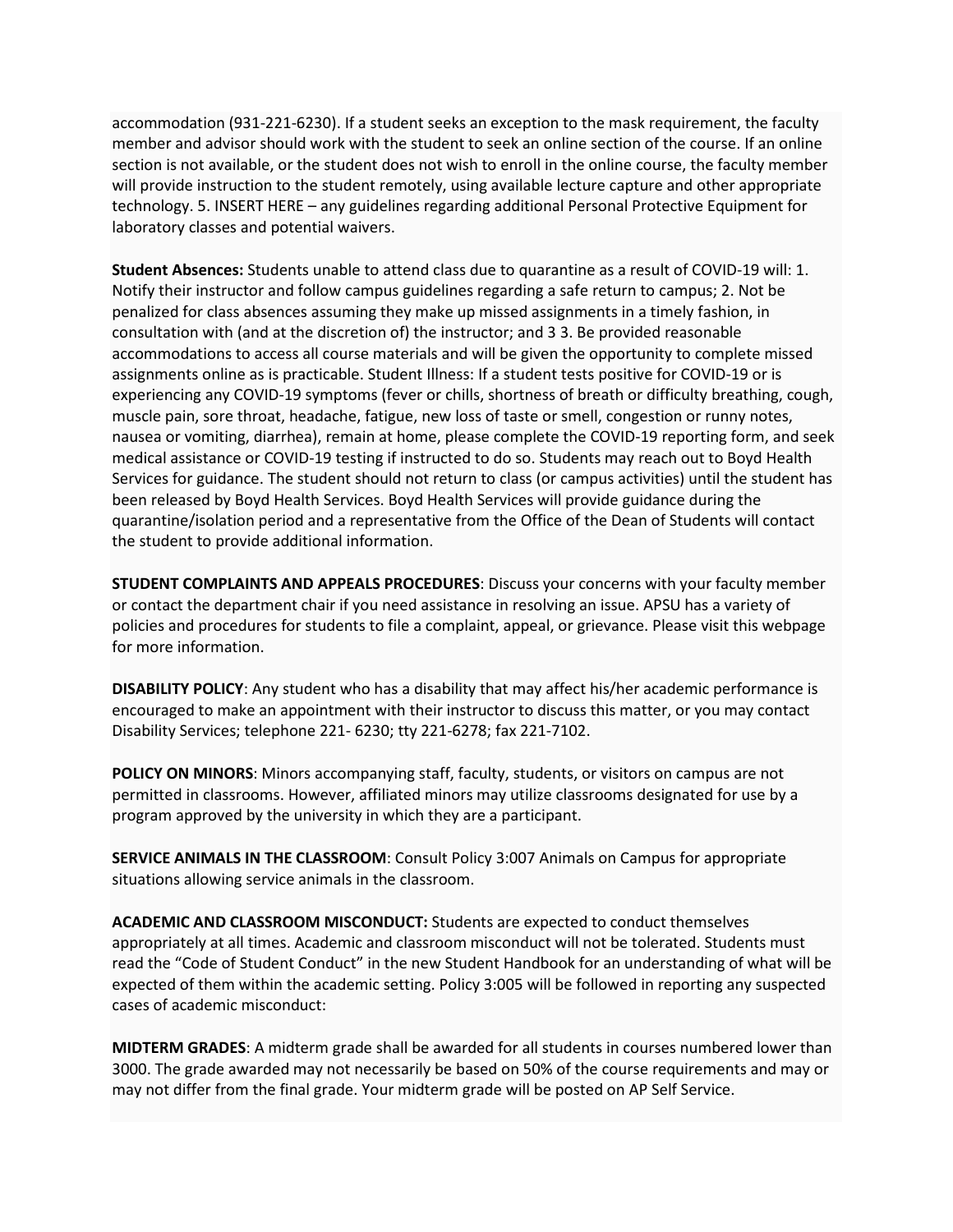accommodation (931-221-6230). If a student seeks an exception to the mask requirement, the faculty member and advisor should work with the student to seek an online section of the course. If an online section is not available, or the student does not wish to enroll in the online course, the faculty member will provide instruction to the student remotely, using available lecture capture and other appropriate technology. 5. INSERT HERE – any guidelines regarding additional Personal Protective Equipment for laboratory classes and potential waivers.

**Student Absences:** Students unable to attend class due to quarantine as a result of COVID-19 will: 1. Notify their instructor and follow campus guidelines regarding a safe return to campus; 2. Not be penalized for class absences assuming they make up missed assignments in a timely fashion, in consultation with (and at the discretion of) the instructor; and 3 3. Be provided reasonable accommodations to access all course materials and will be given the opportunity to complete missed assignments online as is practicable. Student Illness: If a student tests positive for COVID-19 or is experiencing any COVID-19 symptoms (fever or chills, shortness of breath or difficulty breathing, cough, muscle pain, sore throat, headache, fatigue, new loss of taste or smell, congestion or runny notes, nausea or vomiting, diarrhea), remain at home, please complete the COVID-19 reporting form, and seek medical assistance or COVID-19 testing if instructed to do so. Students may reach out to Boyd Health Services for guidance. The student should not return to class (or campus activities) until the student has been released by Boyd Health Services. Boyd Health Services will provide guidance during the quarantine/isolation period and a representative from the Office of the Dean of Students will contact the student to provide additional information.

**STUDENT COMPLAINTS AND APPEALS PROCEDURES**: Discuss your concerns with your faculty member or contact the department chair if you need assistance in resolving an issue. APSU has a variety of policies and procedures for students to file a complaint, appeal, or grievance. Please visit this webpage for more information.

**DISABILITY POLICY**: Any student who has a disability that may affect his/her academic performance is encouraged to make an appointment with their instructor to discuss this matter, or you may contact Disability Services; telephone 221- 6230; tty 221-6278; fax 221-7102.

**POLICY ON MINORS**: Minors accompanying staff, faculty, students, or visitors on campus are not permitted in classrooms. However, affiliated minors may utilize classrooms designated for use by a program approved by the university in which they are a participant.

**SERVICE ANIMALS IN THE CLASSROOM**: Consult Policy 3:007 Animals on Campus for appropriate situations allowing service animals in the classroom.

**ACADEMIC AND CLASSROOM MISCONDUCT:** Students are expected to conduct themselves appropriately at all times. Academic and classroom misconduct will not be tolerated. Students must read the "Code of Student Conduct" in the new Student Handbook for an understanding of what will be expected of them within the academic setting. Policy 3:005 will be followed in reporting any suspected cases of academic misconduct:

**MIDTERM GRADES**: A midterm grade shall be awarded for all students in courses numbered lower than 3000. The grade awarded may not necessarily be based on 50% of the course requirements and may or may not differ from the final grade. Your midterm grade will be posted on AP Self Service.